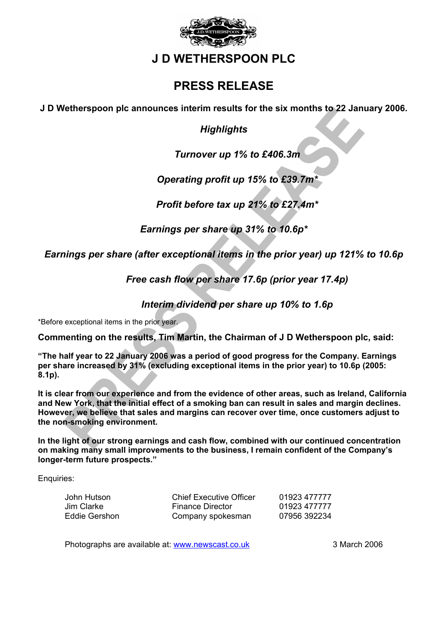

# **J D WETHERSPOON PLC**

# **PRESS RELEASE**

**J D Wetherspoon plc announces interim results for the six months to 22 January 2006.** 

*Highlights* 

*Turnover up 1% to £406.3m* 

*Operating profit up 15% to £39.7m\** 

*Profit before tax up 21% to £27.4m\** 

*Earnings per share up 31% to 10.6p\** 

*Earnings per share (after exceptional items in the prior year) up 121% to 10.6p* 

*Free cash flow per share 17.6p (prior year 17.4p)* 

*Interim dividend per share up 10% to 1.6p* 

\*Before exceptional items in the prior year.

**Commenting on the results, Tim Martin, the Chairman of J D Wetherspoon plc, said:**

**"The half year to 22 January 2006 was a period of good progress for the Company. Earnings per share increased by 31% (excluding exceptional items in the prior year) to 10.6p (2005: 8.1p).** 

**It is clear from our experience and from the evidence of other areas, such as Ireland, California and New York, that the initial effect of a smoking ban can result in sales and margin declines. However, we believe that sales and margins can recover over time, once customers adjust to the non-smoking environment.** 

**In the light of our strong earnings and cash flow, combined with our continued concentration on making many small improvements to the business, I remain confident of the Company's longer-term future prospects."** 

Enquiries:

| John Hutson   | <b>Chief Executive Officer</b> | 01923 477777 |
|---------------|--------------------------------|--------------|
| Jim Clarke    | <b>Finance Director</b>        | 01923 477777 |
| Eddie Gershon | Company spokesman              | 07956 392234 |

Photographs are available at: www.newscast.co.uk 3 March 2006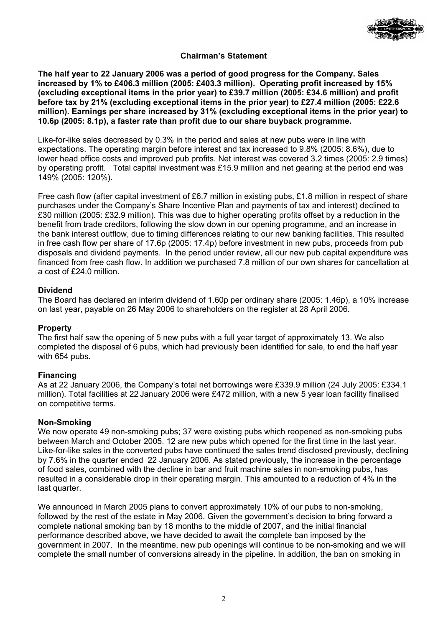

# **Chairman's Statement**

**The half year to 22 January 2006 was a period of good progress for the Company. Sales increased by 1% to £406.3 million (2005: £403.3 million). Operating profit increased by 15% (excluding exceptional items in the prior year) to £39.7 million (2005: £34.6 million) and profit before tax by 21% (excluding exceptional items in the prior year) to £27.4 million (2005: £22.6 million). Earnings per share increased by 31% (excluding exceptional items in the prior year) to 10.6p (2005: 8.1p), a faster rate than profit due to our share buyback programme.** 

Like-for-like sales decreased by 0.3% in the period and sales at new pubs were in line with expectations. The operating margin before interest and tax increased to 9.8% (2005: 8.6%), due to lower head office costs and improved pub profits. Net interest was covered 3.2 times (2005: 2.9 times) by operating profit. Total capital investment was £15.9 million and net gearing at the period end was 149% (2005: 120%).

Free cash flow (after capital investment of £6.7 million in existing pubs, £1.8 million in respect of share purchases under the Company's Share Incentive Plan and payments of tax and interest) declined to £30 million (2005: £32.9 million). This was due to higher operating profits offset by a reduction in the benefit from trade creditors, following the slow down in our opening programme, and an increase in the bank interest outflow, due to timing differences relating to our new banking facilities. This resulted in free cash flow per share of 17.6p (2005: 17.4p) before investment in new pubs, proceeds from pub disposals and dividend payments. In the period under review, all our new pub capital expenditure was financed from free cash flow. In addition we purchased 7.8 million of our own shares for cancellation at a cost of £24.0 million.

### **Dividend**

The Board has declared an interim dividend of 1.60p per ordinary share (2005: 1.46p), a 10% increase on last year, payable on 26 May 2006 to shareholders on the register at 28 April 2006.

### **Property**

The first half saw the opening of 5 new pubs with a full year target of approximately 13. We also completed the disposal of 6 pubs, which had previously been identified for sale, to end the half year with 654 pubs.

### **Financing**

As at 22 January 2006, the Company's total net borrowings were £339.9 million (24 July 2005: £334.1 million). Total facilities at 22 January 2006 were £472 million, with a new 5 year loan facility finalised on competitive terms.

### **Non-Smoking**

We now operate 49 non-smoking pubs; 37 were existing pubs which reopened as non-smoking pubs between March and October 2005. 12 are new pubs which opened for the first time in the last year. Like-for-like sales in the converted pubs have continued the sales trend disclosed previously, declining by 7.6% in the quarter ended 22 January 2006. As stated previously, the increase in the percentage of food sales, combined with the decline in bar and fruit machine sales in non-smoking pubs, has resulted in a considerable drop in their operating margin. This amounted to a reduction of 4% in the last quarter.

We announced in March 2005 plans to convert approximately 10% of our pubs to non-smoking, followed by the rest of the estate in May 2006. Given the government's decision to bring forward a complete national smoking ban by 18 months to the middle of 2007, and the initial financial performance described above, we have decided to await the complete ban imposed by the government in 2007. In the meantime, new pub openings will continue to be non-smoking and we will complete the small number of conversions already in the pipeline. In addition, the ban on smoking in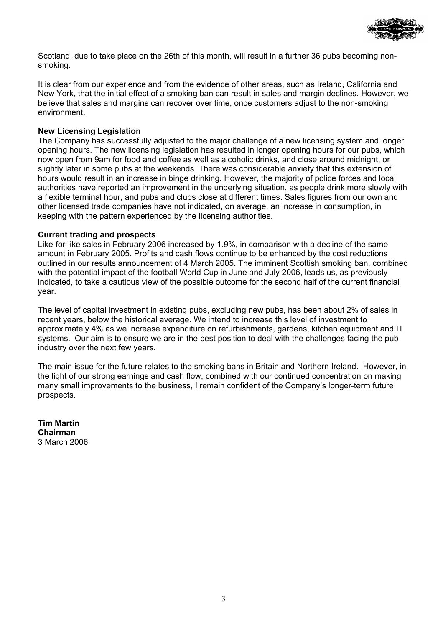

Scotland, due to take place on the 26th of this month, will result in a further 36 pubs becoming nonsmoking.

It is clear from our experience and from the evidence of other areas, such as Ireland, California and New York, that the initial effect of a smoking ban can result in sales and margin declines. However, we believe that sales and margins can recover over time, once customers adjust to the non-smoking environment.

## **New Licensing Legislation**

The Company has successfully adjusted to the major challenge of a new licensing system and longer opening hours. The new licensing legislation has resulted in longer opening hours for our pubs, which now open from 9am for food and coffee as well as alcoholic drinks, and close around midnight, or slightly later in some pubs at the weekends. There was considerable anxiety that this extension of hours would result in an increase in binge drinking. However, the majority of police forces and local authorities have reported an improvement in the underlying situation, as people drink more slowly with a flexible terminal hour, and pubs and clubs close at different times. Sales figures from our own and other licensed trade companies have not indicated, on average, an increase in consumption, in keeping with the pattern experienced by the licensing authorities.

### **Current trading and prospects**

Like-for-like sales in February 2006 increased by 1.9%, in comparison with a decline of the same amount in February 2005. Profits and cash flows continue to be enhanced by the cost reductions outlined in our results announcement of 4 March 2005. The imminent Scottish smoking ban, combined with the potential impact of the football World Cup in June and July 2006, leads us, as previously indicated, to take a cautious view of the possible outcome for the second half of the current financial year.

The level of capital investment in existing pubs, excluding new pubs, has been about 2% of sales in recent years, below the historical average. We intend to increase this level of investment to approximately 4% as we increase expenditure on refurbishments, gardens, kitchen equipment and IT systems. Our aim is to ensure we are in the best position to deal with the challenges facing the pub industry over the next few years.

The main issue for the future relates to the smoking bans in Britain and Northern Ireland. However, in the light of our strong earnings and cash flow, combined with our continued concentration on making many small improvements to the business, I remain confident of the Company's longer-term future prospects.

**Tim Martin Chairman**  3 March 2006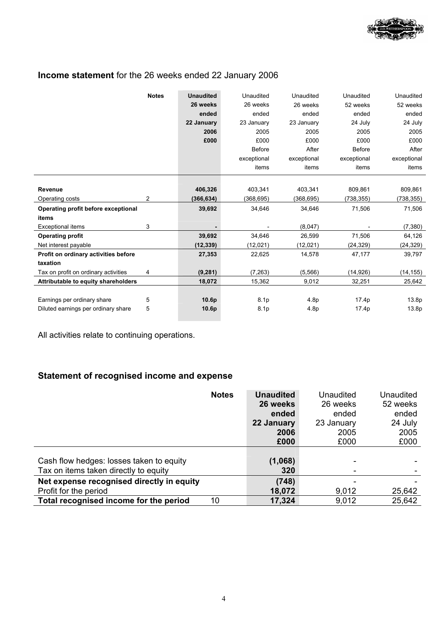

# **Income statement** for the 26 weeks ended 22 January 2006

| <b>Notes</b>                              | <b>Unaudited</b>  | Unaudited     | Unaudited   | Unaudited     | Unaudited         |
|-------------------------------------------|-------------------|---------------|-------------|---------------|-------------------|
|                                           | 26 weeks          | 26 weeks      | 26 weeks    | 52 weeks      | 52 weeks          |
|                                           | ended             | ended         | ended       | ended         | ended             |
|                                           | 22 January        | 23 January    | 23 January  | 24 July       | 24 July           |
|                                           | 2006              | 2005          | 2005        | 2005          | 2005              |
|                                           | £000              | £000          | £000        | £000          | £000              |
|                                           |                   | <b>Before</b> | After       | <b>Before</b> | After             |
|                                           |                   | exceptional   | exceptional | exceptional   | exceptional       |
|                                           |                   | items         | items       | items         | items             |
|                                           |                   |               |             |               |                   |
| Revenue                                   | 406,326           | 403,341       | 403,341     | 809,861       | 809,861           |
| 2<br>Operating costs                      | (366, 634)        | (368,695)     | (368, 695)  | (738, 355)    | (738, 355)        |
| Operating profit before exceptional       | 39,692            | 34,646        | 34,646      | 71,506        | 71,506            |
| items                                     |                   |               |             |               |                   |
| 3<br><b>Exceptional items</b>             |                   |               | (8,047)     |               | (7, 380)          |
| <b>Operating profit</b>                   | 39,692            | 34,646        | 26,599      | 71,506        | 64,126            |
| Net interest payable                      | (12, 339)         | (12, 021)     | (12,021)    | (24, 329)     | (24,329)          |
| Profit on ordinary activities before      | 27,353            | 22,625        | 14,578      | 47,177        | 39,797            |
| taxation                                  |                   |               |             |               |                   |
| Tax on profit on ordinary activities<br>4 | (9, 281)          | (7, 263)      | (5,566)     | (14, 926)     | (14, 155)         |
| Attributable to equity shareholders       | 18,072            | 15,362        | 9,012       | 32,251        | 25,642            |
|                                           |                   |               |             |               |                   |
| Earnings per ordinary share<br>5          | 10.6p             | 8.1p          | 4.8p        | 17.4p         | 13.8p             |
| 5<br>Diluted earnings per ordinary share  | 10.6 <sub>p</sub> | 8.1p          | 4.8p        | 17.4p         | 13.8 <sub>p</sub> |

All activities relate to continuing operations.

# **Statement of recognised income and expense**

|                                           | <b>Notes</b> | <b>Unaudited</b> | Unaudited  | Unaudited |
|-------------------------------------------|--------------|------------------|------------|-----------|
|                                           |              | 26 weeks         | 26 weeks   | 52 weeks  |
|                                           |              | ended            | ended      | ended     |
|                                           |              | 22 January       | 23 January | 24 July   |
|                                           |              | 2006             | 2005       | 2005      |
|                                           |              | £000             | £000       | £000      |
|                                           |              |                  |            |           |
| Cash flow hedges: losses taken to equity  |              | (1,068)          |            |           |
| Tax on items taken directly to equity     |              | 320              |            |           |
| Net expense recognised directly in equity |              | (748)            |            |           |
| Profit for the period                     |              | 18,072           | 9,012      | 25,642    |
| Total recognised income for the period    | 10           | 17,324           | 9,012      | 25,642    |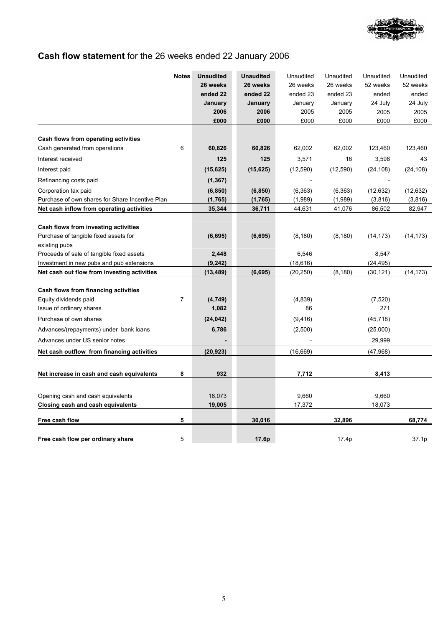

# **Cash flow statement** for the 26 weeks ended 22 January 2006

|                                                            | <b>Notes</b>   | <b>Unaudited</b> | <b>Unaudited</b> | Unaudited | Unaudited | Unaudited | Unaudited |
|------------------------------------------------------------|----------------|------------------|------------------|-----------|-----------|-----------|-----------|
|                                                            |                | 26 weeks         | 26 weeks         | 26 weeks  | 26 weeks  | 52 weeks  | 52 weeks  |
|                                                            |                | ended 22         | ended 22         | ended 23  | ended 23  | ended     | ended     |
|                                                            |                | January          | January          | January   | January   | 24 July   | 24 July   |
|                                                            |                | 2006             | 2006             | 2005      | 2005      | 2005      | 2005      |
|                                                            |                | £000             | £000             | £000      | £000      | £000      | £000      |
| Cash flows from operating activities                       |                |                  |                  |           |           |           |           |
| Cash generated from operations                             | 6              | 60,826           | 60,826           | 62,002    | 62,002    | 123,460   | 123,460   |
| Interest received                                          |                | 125              | 125              | 3,571     | 16        | 3,598     | 43        |
| Interest paid                                              |                | (15, 625)        | (15, 625)        | (12, 590) | (12,590)  | (24, 108) | (24, 108) |
| Refinancing costs paid                                     |                | (1, 367)         |                  |           |           |           |           |
| Corporation tax paid                                       |                | (6, 850)         | (6, 850)         | (6, 363)  | (6, 363)  | (12, 632) | (12, 632) |
| Purchase of own shares for Share Incentive Plan            |                | (1,765)          | (1,765)          | (1,989)   | (1,989)   | (3,816)   | (3,816)   |
| Net cash inflow from operating activities                  |                | 35,344           | 36,711           | 44,631    | 41,076    | 86,502    | 82,947    |
|                                                            |                |                  |                  |           |           |           |           |
| Cash flows from investing activities                       |                |                  |                  |           |           |           |           |
| Purchase of tangible fixed assets for                      |                | (6, 695)         | (6, 695)         | (8, 180)  | (8, 180)  | (14, 173) | (14, 173) |
| existing pubs<br>Proceeds of sale of tangible fixed assets |                | 2,448            |                  | 6,546     |           | 8,547     |           |
| Investment in new pubs and pub extensions                  |                | (9, 242)         |                  | (18, 616) |           | (24, 495) |           |
| Net cash out flow from investing activities                |                | (13, 489)        | (6, 695)         | (20, 250) | (8, 180)  | (30, 121) | (14, 173) |
|                                                            |                |                  |                  |           |           |           |           |
| Cash flows from financing activities                       |                |                  |                  |           |           |           |           |
| Equity dividends paid                                      | $\overline{7}$ | (4,749)          |                  | (4,839)   |           | (7,520)   |           |
| Issue of ordinary shares                                   |                | 1,082            |                  | 86        |           | 271       |           |
| Purchase of own shares                                     |                | (24, 042)        |                  | (9, 416)  |           | (45, 718) |           |
| Advances/(repayments) under bank loans                     |                | 6,786            |                  | (2,500)   |           | (25,000)  |           |
| Advances under US senior notes                             |                |                  |                  |           |           | 29,999    |           |
| Net cash outflow from financing activities                 |                | (20, 923)        |                  | (16, 669) |           | (47,968)  |           |
|                                                            |                |                  |                  |           |           |           |           |
| Net increase in cash and cash equivalents                  | 8              | 932              |                  | 7,712     |           | 8,413     |           |
|                                                            |                |                  |                  |           |           |           |           |
| Opening cash and cash equivalents                          |                | 18,073           |                  | 9,660     |           | 9,660     |           |
| <b>Closing cash and cash equivalents</b>                   |                | 19,005           |                  | 17,372    |           | 18,073    |           |
| Free cash flow                                             | 5              |                  | 30,016           |           | 32,896    |           | 68,774    |
|                                                            |                |                  |                  |           |           |           |           |
| Free cash flow per ordinary share                          | 5              |                  | 17.6p            |           | 17.4p     |           | 37.1p     |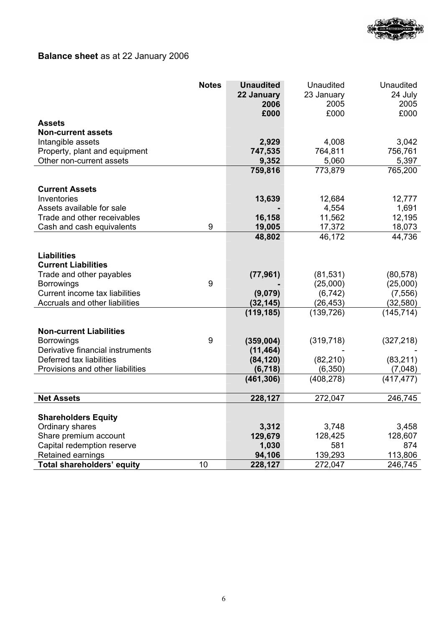

# **Balance sheet** as at 22 January 2006

|                                                     | <b>Notes</b> | <b>Unaudited</b><br>22 January<br>2006 | Unaudited<br>23 January<br>2005 | <b>Unaudited</b><br>24 July |
|-----------------------------------------------------|--------------|----------------------------------------|---------------------------------|-----------------------------|
|                                                     |              | £000                                   | £000                            | 2005<br>£000                |
| Assets                                              |              |                                        |                                 |                             |
| <b>Non-current assets</b>                           |              |                                        |                                 |                             |
| Intangible assets                                   |              | 2,929                                  | 4,008                           | 3,042                       |
| Property, plant and equipment                       |              | 747,535                                | 764,811                         | 756,761                     |
| Other non-current assets                            |              | 9,352                                  | 5,060                           | 5,397                       |
|                                                     |              | 759,816                                | 773,879                         | 765,200                     |
| <b>Current Assets</b>                               |              |                                        |                                 |                             |
| Inventories                                         |              | 13,639                                 | 12,684                          | 12,777                      |
| Assets available for sale                           |              |                                        | 4,554                           | 1,691                       |
| Trade and other receivables                         |              | 16,158                                 | 11,562                          | 12,195                      |
| Cash and cash equivalents                           | 9            | 19,005                                 | 17,372                          | 18,073                      |
|                                                     |              | 48,802                                 | 46,172                          | 44,736                      |
| <b>Liabilities</b>                                  |              |                                        |                                 |                             |
| <b>Current Liabilities</b>                          |              |                                        |                                 |                             |
| Trade and other payables                            |              | (77, 961)                              | (81, 531)                       | (80, 578)                   |
| <b>Borrowings</b>                                   | 9            |                                        | (25,000)                        | (25,000)                    |
| Current income tax liabilities                      |              | (9,079)                                | (6, 742)                        | (7, 556)                    |
| Accruals and other liabilities                      |              | (32, 145)                              | (26, 453)                       | (32, 580)                   |
|                                                     |              | (119, 185)                             | (139, 726)                      | (145, 714)                  |
|                                                     |              |                                        |                                 |                             |
| <b>Non-current Liabilities</b><br><b>Borrowings</b> | 9            | (359,004)                              | (319, 718)                      | (327, 218)                  |
| Derivative financial instruments                    |              | (11, 464)                              |                                 |                             |
| Deferred tax liabilities                            |              | (84, 120)                              | (82, 210)                       | (83, 211)                   |
| Provisions and other liabilities                    |              | (6, 718)                               | (6, 350)                        | (7,048)                     |
|                                                     |              | (461, 306)                             | (408, 278)                      | (417, 477)                  |
|                                                     |              |                                        |                                 |                             |
| <b>Net Assets</b>                                   |              | 228,127                                | 272,047                         | 246,745                     |
|                                                     |              |                                        |                                 |                             |
| <b>Shareholders Equity</b><br>Ordinary shares       |              | 3,312                                  | 3,748                           | 3,458                       |
| Share premium account                               |              | 129,679                                | 128,425                         | 128,607                     |
| Capital redemption reserve                          |              | 1,030                                  | 581                             | 874                         |
| Retained earnings                                   |              | 94,106                                 | 139,293                         | 113,806                     |
| Total shareholders' equity                          | 10           | 228,127                                | 272,047                         | 246,745                     |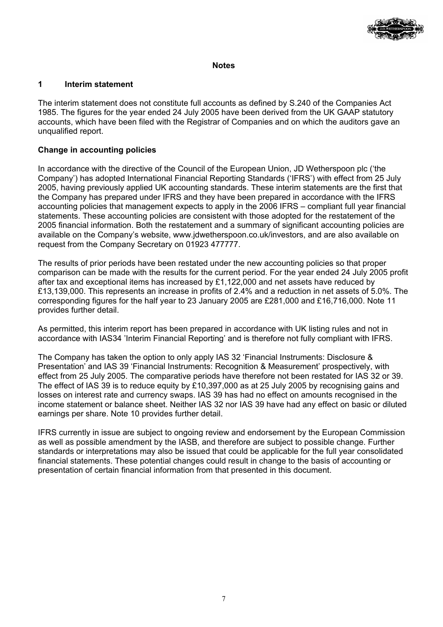

### **Notes**

### **1 Interim statement**

The interim statement does not constitute full accounts as defined by S.240 of the Companies Act 1985. The figures for the year ended 24 July 2005 have been derived from the UK GAAP statutory accounts, which have been filed with the Registrar of Companies and on which the auditors gave an unqualified report.

# **Change in accounting policies**

In accordance with the directive of the Council of the European Union, JD Wetherspoon plc ('the Company') has adopted International Financial Reporting Standards ('IFRS') with effect from 25 July 2005, having previously applied UK accounting standards. These interim statements are the first that the Company has prepared under IFRS and they have been prepared in accordance with the IFRS accounting policies that management expects to apply in the 2006 IFRS – compliant full year financial statements. These accounting policies are consistent with those adopted for the restatement of the 2005 financial information. Both the restatement and a summary of significant accounting policies are available on the Company's website, www.jdwetherspoon.co.uk/investors, and are also available on request from the Company Secretary on 01923 477777.

The results of prior periods have been restated under the new accounting policies so that proper comparison can be made with the results for the current period. For the year ended 24 July 2005 profit after tax and exceptional items has increased by  $£1.122,000$  and net assets have reduced by £13,139,000. This represents an increase in profits of 2.4% and a reduction in net assets of 5.0%. The corresponding figures for the half year to 23 January 2005 are £281,000 and £16,716,000. Note 11 provides further detail.

As permitted, this interim report has been prepared in accordance with UK listing rules and not in accordance with IAS34 'Interim Financial Reporting' and is therefore not fully compliant with IFRS.

The Company has taken the option to only apply IAS 32 'Financial Instruments: Disclosure & Presentation' and IAS 39 'Financial Instruments: Recognition & Measurement' prospectively, with effect from 25 July 2005. The comparative periods have therefore not been restated for IAS 32 or 39. The effect of IAS 39 is to reduce equity by £10,397,000 as at 25 July 2005 by recognising gains and losses on interest rate and currency swaps. IAS 39 has had no effect on amounts recognised in the income statement or balance sheet. Neither IAS 32 nor IAS 39 have had any effect on basic or diluted earnings per share. Note 10 provides further detail.

IFRS currently in issue are subject to ongoing review and endorsement by the European Commission as well as possible amendment by the IASB, and therefore are subject to possible change. Further standards or interpretations may also be issued that could be applicable for the full year consolidated financial statements. These potential changes could result in change to the basis of accounting or presentation of certain financial information from that presented in this document.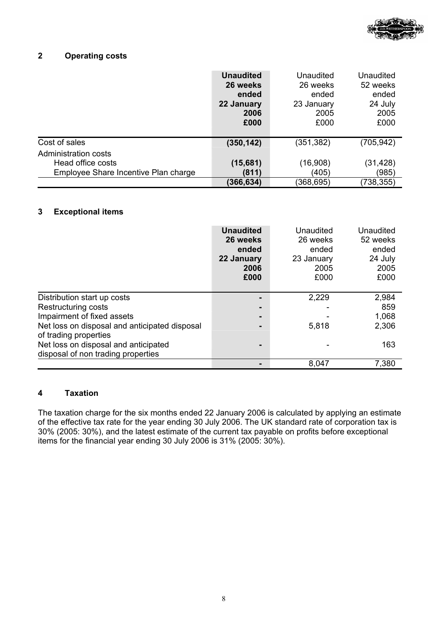

# **2 Operating costs**

|                                      | <b>Unaudited</b><br>26 weeks<br>ended<br>22 January<br>2006<br>£000 | Unaudited<br>26 weeks<br>ended<br>23 January<br>2005<br>£000 | Unaudited<br>52 weeks<br>ended<br>24 July<br>2005<br>£000 |
|--------------------------------------|---------------------------------------------------------------------|--------------------------------------------------------------|-----------------------------------------------------------|
| Cost of sales                        | (350, 142)                                                          | (351, 382)                                                   | (705, 942)                                                |
| Administration costs                 |                                                                     |                                                              |                                                           |
| Head office costs                    | (15,681)                                                            | (16,908)                                                     | (31,428)                                                  |
| Employee Share Incentive Plan charge | (811)                                                               | (405)                                                        | (985)                                                     |
|                                      | (366,634)                                                           | (368,695)                                                    | 738,355)                                                  |

# **3 Exceptional items**

|                                                                            | <b>Unaudited</b><br>26 weeks<br>ended<br>22 January<br>2006<br>£000 | Unaudited<br>26 weeks<br>ended<br>23 January<br>2005<br>£000 | Unaudited<br>52 weeks<br>ended<br>24 July<br>2005<br>£000 |
|----------------------------------------------------------------------------|---------------------------------------------------------------------|--------------------------------------------------------------|-----------------------------------------------------------|
| Distribution start up costs                                                |                                                                     | 2,229                                                        | 2,984                                                     |
| Restructuring costs                                                        |                                                                     |                                                              | 859                                                       |
| Impairment of fixed assets                                                 | -                                                                   |                                                              | 1,068                                                     |
| Net loss on disposal and anticipated disposal<br>of trading properties     |                                                                     | 5,818                                                        | 2,306                                                     |
| Net loss on disposal and anticipated<br>disposal of non trading properties |                                                                     |                                                              | 163                                                       |
|                                                                            |                                                                     | 8,047                                                        | 7,380                                                     |

# **4 Taxation**

The taxation charge for the six months ended 22 January 2006 is calculated by applying an estimate of the effective tax rate for the year ending 30 July 2006. The UK standard rate of corporation tax is 30% (2005: 30%), and the latest estimate of the current tax payable on profits before exceptional items for the financial year ending 30 July 2006 is 31% (2005: 30%).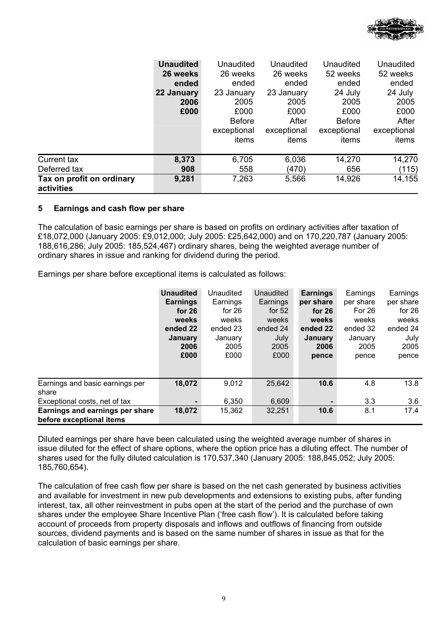

|                                         | <b>Unaudited</b> | Unaudited     | Unaudited   | Unaudited     | Unaudited   |
|-----------------------------------------|------------------|---------------|-------------|---------------|-------------|
|                                         | 26 weeks         | 26 weeks      | 26 weeks    | 52 weeks      | 52 weeks    |
|                                         | ended            | ended         | ended       | ended         | ended       |
|                                         | 22 January       | 23 January    | 23 January  | 24 July       | 24 July     |
|                                         | 2006             | 2005          | 2005        | 2005          | 2005        |
|                                         | £000             | £000          | £000        | £000          | £000        |
|                                         |                  | <b>Before</b> | After       | <b>Before</b> | After       |
|                                         |                  | exceptional   | exceptional | exceptional   | exceptional |
|                                         |                  | items         | items       | items         | items       |
| Current tax                             | 8,373            | 6,705         | 6,036       | 14,270        | 14,270      |
| Deferred tax                            | 908              | 558           | (470)       | 656           | (115)       |
| Tax on profit on ordinary<br>activities | 9,281            | 7,263         | 5,566       | 14,926        | 14,155      |

# **5 Earnings and cash flow per share**

The calculation of basic earnings per share is based on profits on ordinary activities after taxation of £18,072,000 (January 2005: £9,012,000; July 2005: £25,642,000) and on 170,220,787 (January 2005: 188,616,286; July 2005: 185,524,467) ordinary shares, being the weighted average number of ordinary shares in issue and ranking for dividend during the period.

Earnings per share before exceptional items is calculated as follows:

|                                                             | <b>Unaudited</b><br><b>Earnings</b><br>for $26$<br>weeks<br>ended 22<br><b>January</b><br>2006<br>£000 | Unaudited<br>Earnings<br>for $26$<br>weeks<br>ended 23<br>January<br>2005<br>£000 | Unaudited<br>Earnings<br>for $52$<br>weeks<br>ended 24<br>July<br>2005<br>£000 | <b>Earnings</b><br>per share<br>for $26$<br>weeks<br>ended 22<br>January<br>2006<br>pence | Earnings<br>per share<br>For 26<br>weeks<br>ended 32<br>January<br>2005<br>pence | Earnings<br>per share<br>for $26$<br>weeks<br>ended 24<br>July<br>2005<br>pence |
|-------------------------------------------------------------|--------------------------------------------------------------------------------------------------------|-----------------------------------------------------------------------------------|--------------------------------------------------------------------------------|-------------------------------------------------------------------------------------------|----------------------------------------------------------------------------------|---------------------------------------------------------------------------------|
| Earnings and basic earnings per                             | 18,072                                                                                                 | 9,012                                                                             | 25,642                                                                         | 10.6                                                                                      | 4.8                                                                              | 13.8                                                                            |
| share                                                       |                                                                                                        |                                                                                   |                                                                                |                                                                                           |                                                                                  |                                                                                 |
| Exceptional costs, net of tax                               |                                                                                                        | 6,350                                                                             | 6,609                                                                          |                                                                                           | 3.3                                                                              | 3.6                                                                             |
| Earnings and earnings per share<br>before exceptional items | 18,072                                                                                                 | 15,362                                                                            | 32,251                                                                         | 10.6                                                                                      | 8.1                                                                              | 17.4                                                                            |

Diluted earnings per share have been calculated using the weighted average number of shares in issue diluted for the effect of share options, where the option price has a diluting effect. The number of shares used for the fully diluted calculation is 170,537,340 (January 2005: 188,845,052; July 2005: 185,760,654).

The calculation of free cash flow per share is based on the net cash generated by business activities and available for investment in new pub developments and extensions to existing pubs, after funding interest, tax, all other reinvestment in pubs open at the start of the period and the purchase of own shares under the employee Share Incentive Plan ('free cash flow'). It is calculated before taking account of proceeds from property disposals and inflows and outflows of financing from outside sources, dividend payments and is based on the same number of shares in issue as that for the calculation of basic earnings per share.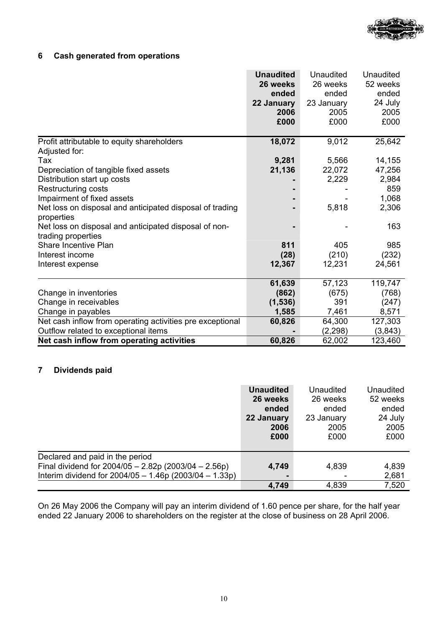

# **6 Cash generated from operations**

|                                                           | <b>Unaudited</b> | <b>Unaudited</b> | <b>Unaudited</b> |
|-----------------------------------------------------------|------------------|------------------|------------------|
|                                                           | 26 weeks         | 26 weeks         | 52 weeks         |
|                                                           | ended            | ended            | ended            |
|                                                           | 22 January       | 23 January       | 24 July          |
|                                                           | 2006             | 2005             | 2005             |
|                                                           | £000             | £000             | £000             |
| Profit attributable to equity shareholders                | 18,072           | 9,012            | 25,642           |
| Adjusted for:                                             |                  |                  |                  |
| Tax                                                       | 9,281            | 5,566            | 14,155           |
| Depreciation of tangible fixed assets                     | 21,136           | 22,072           | 47,256           |
| Distribution start up costs                               |                  | 2,229            | 2,984            |
| Restructuring costs                                       |                  |                  | 859              |
| Impairment of fixed assets                                |                  |                  | 1,068            |
| Net loss on disposal and anticipated disposal of trading  |                  | 5,818            | 2,306            |
| properties                                                |                  |                  |                  |
| Net loss on disposal and anticipated disposal of non-     |                  |                  | 163              |
| trading properties                                        |                  |                  |                  |
| Share Incentive Plan                                      | 811              | 405              | 985              |
| Interest income                                           | (28)             | (210)            | (232)            |
| Interest expense                                          | 12,367           | 12,231           | 24,561           |
|                                                           | 61,639           | 57,123           | 119,747          |
| Change in inventories                                     | (862)            | (675)            | (768)            |
| Change in receivables                                     | (1, 536)         | 391              | (247)            |
| Change in payables                                        | 1,585            | 7,461            | 8,571            |
| Net cash inflow from operating activities pre exceptional | 60,826           | 64,300           | 127,303          |
| Outflow related to exceptional items                      |                  | (2, 298)         | (3,843)          |
| Net cash inflow from operating activities                 | 60,826           | 62,002           | 123,460          |

# **7 Dividends paid**

|                                                                                                                                                     | <b>Unaudited</b><br>26 weeks<br>ended<br>22 January<br>2006<br>£000 | Unaudited<br>26 weeks<br>ended<br>23 January<br>2005<br>£000 | Unaudited<br>52 weeks<br>ended<br>24 July<br>2005<br>£000 |
|-----------------------------------------------------------------------------------------------------------------------------------------------------|---------------------------------------------------------------------|--------------------------------------------------------------|-----------------------------------------------------------|
| Declared and paid in the period<br>Final dividend for $2004/05 - 2.82p(2003/04 - 2.56p)$<br>Interim dividend for $2004/05 - 1.46p(2003/04 - 1.33p)$ | 4,749                                                               | 4,839                                                        | 4,839<br>2,681                                            |
|                                                                                                                                                     | 4,749                                                               | 4,839                                                        | 7,520                                                     |

On 26 May 2006 the Company will pay an interim dividend of 1.60 pence per share, for the half year ended 22 January 2006 to shareholders on the register at the close of business on 28 April 2006.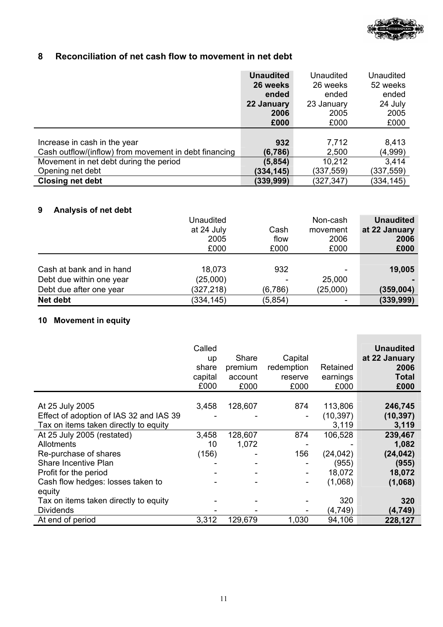

# **8 Reconciliation of net cash flow to movement in net debt**

|                                                       | <b>Unaudited</b> | Unaudited  | Unaudited |
|-------------------------------------------------------|------------------|------------|-----------|
|                                                       | 26 weeks         | 26 weeks   | 52 weeks  |
|                                                       | ended            | ended      | ended     |
|                                                       | 22 January       | 23 January | 24 July   |
|                                                       | 2006             | 2005       | 2005      |
|                                                       | £000             | £000       | £000      |
|                                                       |                  |            |           |
| Increase in cash in the year                          | 932              | 7,712      | 8,413     |
| Cash outflow/(inflow) from movement in debt financing | (6,786)          | 2,500      | (4,999)   |
| Movement in net debt during the period                | (5, 854)         | 10,212     | 3,414     |
| Opening net debt                                      | (334, 145)       | (337,559)  | (337,559) |
| <b>Closing net debt</b>                               | (339,999)        | (327,347)  | (334,145) |

# **9 Analysis of net debt**

|                          | Unaudited  |         | Non-cash                 | <b>Unaudited</b> |
|--------------------------|------------|---------|--------------------------|------------------|
|                          | at 24 July | Cash    | movement                 | at 22 January    |
|                          | 2005       | flow    | 2006                     | 2006             |
|                          | £000       | £000    | £000                     | £000             |
|                          |            |         |                          |                  |
| Cash at bank and in hand | 18,073     | 932     | $\overline{\phantom{0}}$ | 19,005           |
| Debt due within one year | (25,000)   |         | 25,000                   |                  |
| Debt due after one year  | (327,218)  | (6,786) | (25,000)                 | (359, 004)       |
| Net debt                 | (334, 145) | (5,854) | ۰                        | (339, 999)       |

# **10 Movement in equity**

|                                         | Called<br>up<br>share<br>capital<br>£000 | Share<br>premium<br>account<br>£000 | Capital<br>redemption<br>reserve<br>£000 | Retained<br>earnings<br>£000 | <b>Unaudited</b><br>at 22 January<br>2006<br>Total<br>£000 |
|-----------------------------------------|------------------------------------------|-------------------------------------|------------------------------------------|------------------------------|------------------------------------------------------------|
|                                         |                                          |                                     |                                          |                              |                                                            |
| At 25 July 2005                         | 3,458                                    | 128,607                             | 874                                      | 113,806                      | 246,745                                                    |
| Effect of adoption of IAS 32 and IAS 39 |                                          |                                     | ٠                                        | (10, 397)                    | (10, 397)                                                  |
| Tax on items taken directly to equity   |                                          |                                     |                                          | 3,119                        | 3,119                                                      |
| At 25 July 2005 (restated)              | 3,458                                    | 128,607                             | 874                                      | 106,528                      | 239,467                                                    |
| <b>Allotments</b>                       | 10                                       | 1,072                               |                                          |                              | 1,082                                                      |
| Re-purchase of shares                   | (156)                                    |                                     | 156                                      | (24, 042)                    | (24, 042)                                                  |
| Share Incentive Plan                    |                                          |                                     |                                          | (955)                        | (955)                                                      |
| Profit for the period                   |                                          |                                     |                                          | 18,072                       | 18,072                                                     |
| Cash flow hedges: losses taken to       |                                          |                                     |                                          | (1,068)                      | (1,068)                                                    |
| equity                                  |                                          |                                     |                                          |                              |                                                            |
| Tax on items taken directly to equity   |                                          |                                     |                                          | 320                          | 320                                                        |
| <b>Dividends</b>                        |                                          |                                     |                                          | (4, 749)                     | (4, 749)                                                   |
| At end of period                        | 3,312                                    | 129,679                             | 1,030                                    | 94,106                       | 228,127                                                    |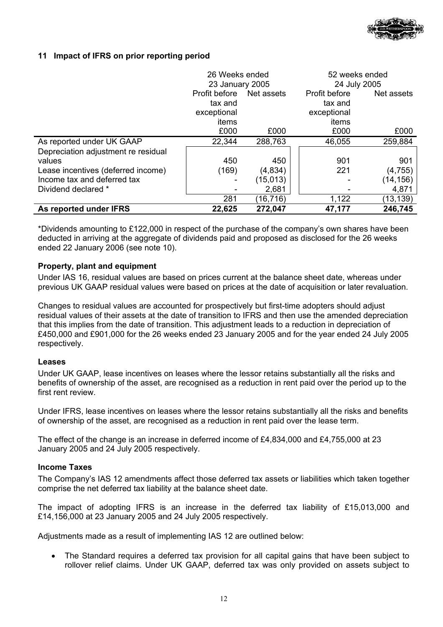

# **11 Impact of IFRS on prior reporting period**

|                                     | 26 Weeks ended  |            | 52 weeks ended<br>24 July 2005 |            |
|-------------------------------------|-----------------|------------|--------------------------------|------------|
|                                     | 23 January 2005 |            |                                |            |
|                                     | Profit before   | Net assets | Profit before                  | Net assets |
|                                     | tax and         |            | tax and                        |            |
|                                     | exceptional     |            | exceptional                    |            |
|                                     | items           |            | items                          |            |
|                                     | £000            | £000       | £000                           | £000       |
| As reported under UK GAAP           | 22,344          | 288,763    | 46,055                         | 259,884    |
| Depreciation adjustment re residual |                 |            |                                |            |
| values                              | 450             | 450        | 901                            | 901        |
| Lease incentives (deferred income)  | (169)           | (4,834)    | 221                            | (4, 755)   |
| Income tax and deferred tax         |                 | (15, 013)  |                                | (14, 156)  |
| Dividend declared *                 |                 | 2,681      |                                | 4,871      |
|                                     | 281             | (16,716)   | 1,122                          | (13,139)   |
| As reported under IFRS              | 22,625          | 272,047    | 47,177                         | 246,745    |

\*Dividends amounting to £122,000 in respect of the purchase of the company's own shares have been deducted in arriving at the aggregate of dividends paid and proposed as disclosed for the 26 weeks ended 22 January 2006 (see note 10).

## **Property, plant and equipment**

Under IAS 16, residual values are based on prices current at the balance sheet date, whereas under previous UK GAAP residual values were based on prices at the date of acquisition or later revaluation.

Changes to residual values are accounted for prospectively but first-time adopters should adjust residual values of their assets at the date of transition to IFRS and then use the amended depreciation that this implies from the date of transition. This adjustment leads to a reduction in depreciation of £450,000 and £901,000 for the 26 weeks ended 23 January 2005 and for the year ended 24 July 2005 respectively.

### **Leases**

Under UK GAAP, lease incentives on leases where the lessor retains substantially all the risks and benefits of ownership of the asset, are recognised as a reduction in rent paid over the period up to the first rent review.

Under IFRS, lease incentives on leases where the lessor retains substantially all the risks and benefits of ownership of the asset, are recognised as a reduction in rent paid over the lease term.

The effect of the change is an increase in deferred income of £4,834,000 and £4,755,000 at 23 January 2005 and 24 July 2005 respectively.

### **Income Taxes**

The Company's IAS 12 amendments affect those deferred tax assets or liabilities which taken together comprise the net deferred tax liability at the balance sheet date.

The impact of adopting IFRS is an increase in the deferred tax liability of £15,013,000 and £14,156,000 at 23 January 2005 and 24 July 2005 respectively.

Adjustments made as a result of implementing IAS 12 are outlined below:

• The Standard requires a deferred tax provision for all capital gains that have been subject to rollover relief claims. Under UK GAAP, deferred tax was only provided on assets subject to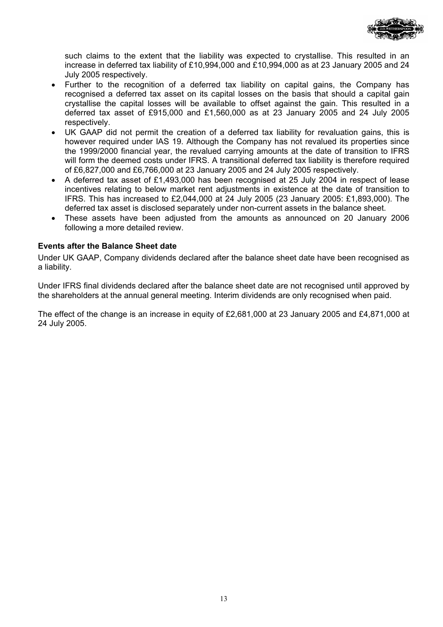

such claims to the extent that the liability was expected to crystallise. This resulted in an increase in deferred tax liability of £10,994,000 and £10,994,000 as at 23 January 2005 and 24 July 2005 respectively.

- Further to the recognition of a deferred tax liability on capital gains, the Company has recognised a deferred tax asset on its capital losses on the basis that should a capital gain crystallise the capital losses will be available to offset against the gain. This resulted in a deferred tax asset of £915,000 and  $£1,560,000$  as at 23 January 2005 and 24 July 2005 respectively.
- UK GAAP did not permit the creation of a deferred tax liability for revaluation gains, this is however required under IAS 19. Although the Company has not revalued its properties since the 1999/2000 financial year, the revalued carrying amounts at the date of transition to IFRS will form the deemed costs under IFRS. A transitional deferred tax liability is therefore required of £6,827,000 and £6,766,000 at 23 January 2005 and 24 July 2005 respectively.
- A deferred tax asset of £1,493,000 has been recognised at 25 July 2004 in respect of lease incentives relating to below market rent adjustments in existence at the date of transition to IFRS. This has increased to £2,044,000 at 24 July 2005 (23 January 2005: £1,893,000). The deferred tax asset is disclosed separately under non-current assets in the balance sheet.
- These assets have been adjusted from the amounts as announced on 20 January 2006 following a more detailed review.

## **Events after the Balance Sheet date**

Under UK GAAP, Company dividends declared after the balance sheet date have been recognised as a liability.

Under IFRS final dividends declared after the balance sheet date are not recognised until approved by the shareholders at the annual general meeting. Interim dividends are only recognised when paid.

The effect of the change is an increase in equity of £2,681,000 at 23 January 2005 and £4,871,000 at 24 July 2005.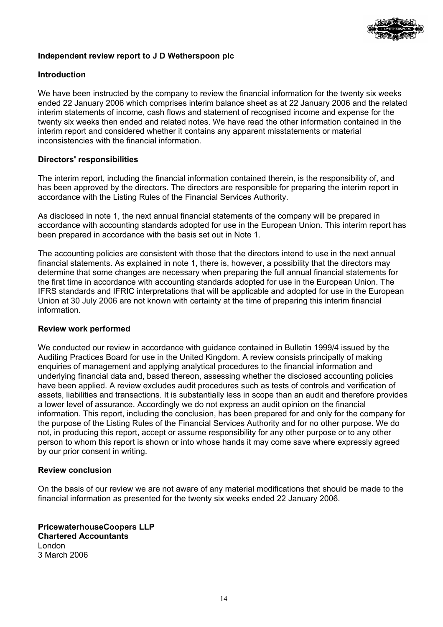

# **Independent review report to J D Wetherspoon plc**

# **Introduction**

We have been instructed by the company to review the financial information for the twenty six weeks ended 22 January 2006 which comprises interim balance sheet as at 22 January 2006 and the related interim statements of income, cash flows and statement of recognised income and expense for the twenty six weeks then ended and related notes. We have read the other information contained in the interim report and considered whether it contains any apparent misstatements or material inconsistencies with the financial information.

# **Directors' responsibilities**

The interim report, including the financial information contained therein, is the responsibility of, and has been approved by the directors. The directors are responsible for preparing the interim report in accordance with the Listing Rules of the Financial Services Authority.

As disclosed in note 1, the next annual financial statements of the company will be prepared in accordance with accounting standards adopted for use in the European Union. This interim report has been prepared in accordance with the basis set out in Note 1.

The accounting policies are consistent with those that the directors intend to use in the next annual financial statements. As explained in note 1, there is, however, a possibility that the directors may determine that some changes are necessary when preparing the full annual financial statements for the first time in accordance with accounting standards adopted for use in the European Union. The IFRS standards and IFRIC interpretations that will be applicable and adopted for use in the European Union at 30 July 2006 are not known with certainty at the time of preparing this interim financial information.

### **Review work performed**

We conducted our review in accordance with guidance contained in Bulletin 1999/4 issued by the Auditing Practices Board for use in the United Kingdom. A review consists principally of making enquiries of management and applying analytical procedures to the financial information and underlying financial data and, based thereon, assessing whether the disclosed accounting policies have been applied. A review excludes audit procedures such as tests of controls and verification of assets, liabilities and transactions. It is substantially less in scope than an audit and therefore provides a lower level of assurance. Accordingly we do not express an audit opinion on the financial information. This report, including the conclusion, has been prepared for and only for the company for the purpose of the Listing Rules of the Financial Services Authority and for no other purpose. We do not, in producing this report, accept or assume responsibility for any other purpose or to any other person to whom this report is shown or into whose hands it may come save where expressly agreed by our prior consent in writing.

### **Review conclusion**

On the basis of our review we are not aware of any material modifications that should be made to the financial information as presented for the twenty six weeks ended 22 January 2006.

**PricewaterhouseCoopers LLP Chartered Accountants**  London 3 March 2006